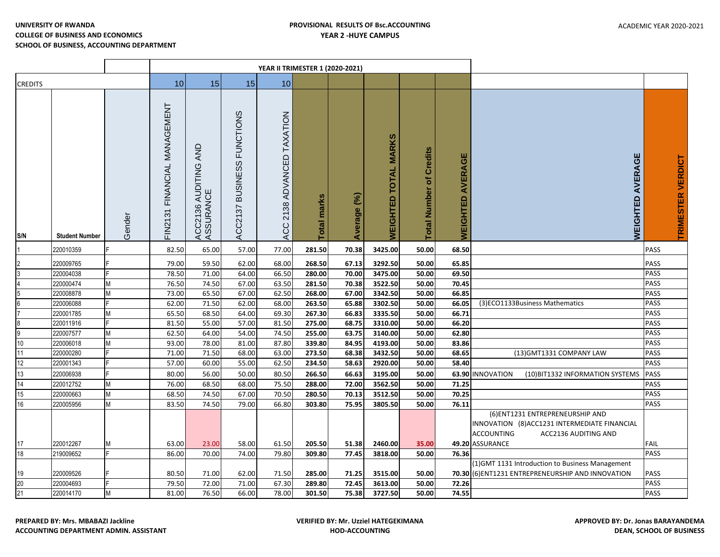|                 |                        |         |                                 | YEAR II TRIMESTER 1 (2020-2021)   |                                                |                            |                       |                |                             |                                            |                                   |                                                                                                                                                   |                            |
|-----------------|------------------------|---------|---------------------------------|-----------------------------------|------------------------------------------------|----------------------------|-----------------------|----------------|-----------------------------|--------------------------------------------|-----------------------------------|---------------------------------------------------------------------------------------------------------------------------------------------------|----------------------------|
| <b>CREDITS</b>  |                        |         | 10 <sup>1</sup>                 | 15                                | 15                                             | 10                         |                       |                |                             |                                            |                                   |                                                                                                                                                   |                            |
| S/N             | <b>Student Number</b>  | Gender  | FINANCIAL MANAGEMENT<br>FIN2131 | ACC2136 AUDITING AND<br>ASSURANCE | <b>FUNCTIONS</b><br><b>BUSINESS</b><br>ACC2137 | ACC 2138 ADVANCED TAXATION | marks<br><b>Total</b> | (5)<br>Average | <b>WEIGHTED TOTAL MARKS</b> | <b>Credits</b><br>৳<br><b>Total Number</b> | <b>AVERAGE</b><br><b>WEIGHTED</b> | AVERAGE<br><b>WEIGHTED</b>                                                                                                                        | <b>TRIMESTER VERDICT</b>   |
|                 | 220010359              |         | 82.50                           | 65.00                             | 57.00                                          | 77.00                      | 281.50                | 70.38          | 3425.00                     | 50.00                                      | 68.50                             |                                                                                                                                                   | <b>PASS</b>                |
| $\overline{c}$  | 220009765              | E.      | 79.00                           | 59.50                             | 62.00                                          | 68.00                      | 268.50                | 67.13          | 3292.50                     | 50.00                                      | 65.85                             |                                                                                                                                                   | <b>PASS</b>                |
| 3               | 220004038              |         | 78.50                           | 71.00                             | 64.00                                          | 66.50                      | 280.00                | 70.00          | 3475.00                     | 50.00                                      | 69.50                             |                                                                                                                                                   | <b>PASS</b>                |
| $\overline{4}$  | 220000474              | M       | 76.50                           | 74.50                             | 67.00                                          | 63.50                      | 281.50                | 70.38          | 3522.50                     | 50.00                                      | 70.45                             |                                                                                                                                                   | <b>PASS</b>                |
| $\overline{5}$  | 220008878              | М       | 73.00                           | 65.50                             | 67.00                                          | 62.50                      | 268.00                | 67.00          | 3342.50                     | 50.00                                      | 66.85                             |                                                                                                                                                   | <b>PASS</b>                |
| $6\overline{6}$ | 220006088              |         | 62.00                           | 71.50                             | 62.00                                          | 68.00                      | 263.50                | 65.88          | 3302.50                     | 50.00                                      | 66.05                             | (3)ECO1133Business Mathematics                                                                                                                    | <b>PASS</b>                |
| $\overline{7}$  | 220001785              | М       | 65.50                           | 68.50                             | 64.00                                          | 69.30                      | 267.30                | 66.83          | 3335.50                     | 50.00                                      | 66.71                             |                                                                                                                                                   | <b>PASS</b>                |
| စစ              | 220011916              |         | 81.50                           | 55.00                             | 57.00                                          | 81.50                      | 275.00                | 68.75          | 3310.00                     | 50.00                                      | 66.20                             |                                                                                                                                                   | <b>PASS</b>                |
|                 | 220007577              | M       | 62.50                           | 64.00                             | 54.00                                          | 74.50                      | 255.00                | 63.75          | 3140.00                     | 50.00                                      | 62.80                             |                                                                                                                                                   | PASS                       |
| 10              | 220006018              | М       | 93.00                           | 78.00                             | 81.00                                          | 87.80                      | 339.80                | 84.95          | 4193.00                     | 50.00                                      | 83.86                             |                                                                                                                                                   | PASS                       |
| 11              | 220000280              |         | 71.00                           | 71.50                             | 68.00                                          | 63.00                      | 273.50                | 68.38          | 3432.50                     | 50.00                                      | 68.65                             | (13) GMT1331 COMPANY LAW                                                                                                                          | <b>PASS</b>                |
| 12              | 220001343              |         | 57.00                           | 60.00                             | 55.00                                          | 62.50                      | 234.50                | 58.63          | 2920.00                     | 50.00                                      | 58.40                             |                                                                                                                                                   | <b>PASS</b>                |
| 13              | 220006938              |         | 80.00                           | 56.00                             | 50.00                                          | 80.50                      | 266.50                | 66.63          | 3195.00                     | 50.00                                      |                                   | 63.90 INNOVATION<br>(10) BIT1332 INFORMATION SYSTEMS                                                                                              | <b>PASS</b>                |
| 14              | 220012752              | М       | 76.00                           | 68.50                             | 68.00                                          | 75.50                      | 288.00                | 72.00          | 3562.50                     | 50.00                                      | 71.25                             |                                                                                                                                                   | PASS                       |
| 15              | 220000663              | М       | 68.50                           | 74.50                             | 67.00                                          | 70.50                      | 280.50                | 70.13          | 3512.50                     | 50.00                                      | 70.25                             |                                                                                                                                                   | <b>PASS</b>                |
| 16              | 220005956              | М       | 83.50                           | 74.50                             | 79.00                                          | 66.80                      | 303.80                | 75.95          | 3805.50                     | 50.00                                      | 76.11                             |                                                                                                                                                   | <b>PASS</b>                |
| 17<br>18        | 220012267<br>219009652 | М<br>F. | 63.00<br>86.00                  | 23.00<br>70.00                    | 58.00<br>74.00                                 | 61.50<br>79.80             | 205.50<br>309.80      | 51.38<br>77.45 | 2460.00<br>3818.00          | 35.00<br>50.00                             | 76.36                             | (6) ENT1231 ENTREPRENEURSHIP AND<br>INNOVATION (8) ACC1231 INTERMEDIATE FINANCIAL<br><b>ACCOUNTING</b><br>ACC2136 AUDITING AND<br>49.20 ASSURANCE | <b>FAIL</b><br><b>PASS</b> |
|                 |                        |         |                                 |                                   |                                                |                            |                       |                |                             |                                            |                                   | (1) GMT 1131 Introduction to Business Management                                                                                                  |                            |
| 19              | 220009526              |         | 80.50                           | 71.00                             | 62.00                                          | 71.50                      | 285.00                | 71.25          | 3515.00                     | 50.00                                      |                                   | 70.30 (6) ENT1231 ENTREPRENEURSHIP AND INNOVATION                                                                                                 | <b>PASS</b>                |
| 20              | 220004693              |         | 79.50                           | 72.00                             | 71.00                                          | 67.30                      | 289.80                | 72.45          | 3613.00                     | 50.00                                      | 72.26                             |                                                                                                                                                   | <b>PASS</b>                |
| 21              | 220014170              | M       | 81.00                           | 76.50                             | 66.00                                          | 78.00                      | 301.50                | 75.38          | 3727.50                     | 50.00                                      | 74.55                             |                                                                                                                                                   | <b>PASS</b>                |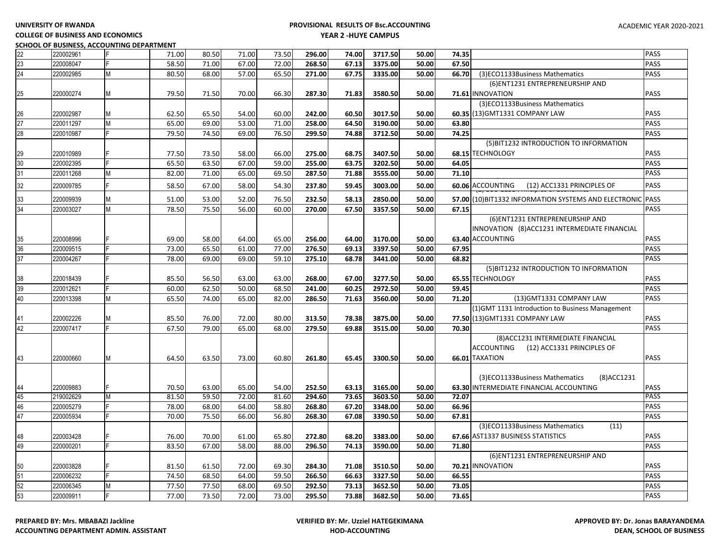**COLLEGE OF BUSINESS AND ECONOMICS SCHOOL OF BUSINESS, ACCOUNTING DEPARTMENT**

| 22       | 220002961              |   | 71.00          | 80.50          | 71.00          | 73.50          | 296.00           | 74.00          | 3717.50            | 50.00          | PASS<br>74.35                                                       |
|----------|------------------------|---|----------------|----------------|----------------|----------------|------------------|----------------|--------------------|----------------|---------------------------------------------------------------------|
| 23       | 220008047              |   | 58.50          | 71.00          | 67.00          | 72.00          | 268.50           | 67.13          | 3375.00            | 50.00          | PASS<br>67.50                                                       |
| 24       | 220002985              | M | 80.50          | 68.00          | 57.00          | 65.50          | 271.00           | 67.75          | 3335.00            | 50.00          | PASS<br>66.70<br>(3)ECO1133Business Mathematics                     |
|          |                        |   |                |                |                |                |                  |                |                    |                | (6) ENT1231 ENTREPRENEURSHIP AND                                    |
| 25       | 220000274              | M | 79.50          | 71.50          | 70.00          | 66.30          | 287.30           | 71.83          | 3580.50            | 50.00          | PASS<br>71.61 INNOVATION                                            |
|          |                        |   |                |                |                |                |                  |                |                    |                | (3)ECO1133Business Mathematics                                      |
| 26       | 220002987              | M | 62.50          | 65.50          | 54.00          | 60.00          | 242.00           | 60.50          | 3017.50            | 50.00          | PASS<br>60.35 (13) GMT1331 COMPANY LAW                              |
| 27       | 220011297              | M | 65.00          | 69.00          | 53.00          | 71.00          | 258.00           | 64.50          | 3190.00            | 50.00          | PASS<br>63.80                                                       |
| 28       | 220010987              |   | 79.50          | 74.50          | 69.00          | 76.50          | 299.50           | 74.88          | 3712.50            | 50.00          | PASS<br>74.25                                                       |
|          |                        |   |                |                |                |                |                  |                |                    |                | (5) BIT1232 INTRODUCTION TO INFORMATION                             |
| 29       | 220010989              |   | 77.50          | 73.50          | 58.00          | 66.00          | 275.00           | 68.75          | 3407.50            | 50.00          | 68.15 TECHNOLOGY<br>PASS                                            |
| 30       | 220002395              |   | 65.50          | 63.50          | 67.00          | 59.00          | 255.00           | 63.75          | 3202.50            | 50.00          | PASS<br>64.05                                                       |
| 31       | 220011268              | M | 82.00          | 71.00          | 65.00          | 69.50          | 287.50           | 71.88          | 3555.00            | 50.00          | PASS<br>71.10                                                       |
| 32       | 220009785              | Ė | 58.50          | 67.00          | 58.00          | 54.30          | 237.80           | 59.45          | 3003.00            | 50.00          | PASS<br>60.06 ACCOUNTING<br>(12) ACC1331 PRINCIPLES OF              |
| 33       | 220009939              | М | 51.00          | 53.00          | 52.00          | 76.50          | 232.50           | 58.13          | 2850.00            | 50.00          | 57.00 (10) BIT1332 INFORMATION SYSTEMS AND ELECTRONIC<br>PASS       |
| 34       | 220003027              | M | 78.50          | 75.50          | 56.00          | 60.00          | 270.00           | 67.50          | 3357.50            | 50.00          | PASS<br>67.15                                                       |
|          |                        |   |                |                |                |                |                  |                |                    |                | (6) ENT1231 ENTREPRENEURSHIP AND                                    |
|          |                        |   |                |                |                |                |                  |                |                    |                | INNOVATION (8) ACC1231 INTERMEDIATE FINANCIAL                       |
| 35       | 220008996              |   | 69.00          | 58.00          | 64.00          | 65.00          | 256.00           | 64.00          | 3170.00            | 50.00          | 63.40 ACCOUNTING<br>PASS                                            |
| 36       | 220009515              |   | 73.00          | 65.50          | 61.00          | 77.00          | 276.50           | 69.13          | 3397.50            | 50.00          | 67.95<br>PASS                                                       |
| 37       | 220004267              |   | 78.00          | 69.00          | 69.00          | 59.10          | 275.10           | 68.78          | 3441.00            | 50.00          | PASS<br>68.82                                                       |
|          |                        |   |                |                |                |                |                  |                |                    |                |                                                                     |
|          | 220018439              |   |                | 56.50          |                |                | 268.00           | 67.00          | 3277.50            | 50.00          | (5) BIT1232 INTRODUCTION TO INFORMATION<br>PASS<br>65.55 TECHNOLOGY |
| 38<br>39 | 220012621              |   | 85.50<br>60.00 | 62.50          | 63.00<br>50.00 | 63.00<br>68.50 | 241.00           | 60.25          | 2972.50            | 50.00          | PASS<br>59.45                                                       |
| 40       | 220013398              | M | 65.50          | 74.00          | 65.00          | 82.00          | 286.50           | 71.63          | 3560.00            | 50.00          | PASS<br>(13) GMT1331 COMPANY LAW<br>71.20                           |
|          |                        |   |                |                |                |                |                  |                |                    |                |                                                                     |
|          |                        |   |                |                |                |                |                  |                |                    |                | (1) GMT 1131 Introduction to Business Management                    |
| 42       | 220002226              | М | 85.50<br>67.50 | 76.00<br>79.00 | 72.00          | 80.00          | 313.50           | 78.38          | 3875.00            | 50.00          | 77.50 (13) GMT1331 COMPANY LAW<br>PASS                              |
|          | 220007417              |   |                |                | 65.00          | 68.00          | 279.50           | 69.88          | 3515.00            | 50.00          | PASS<br>70.30                                                       |
|          |                        |   |                |                |                |                |                  |                |                    |                | (8) ACC1231 INTERMEDIATE FINANCIAL                                  |
|          |                        |   |                |                |                |                |                  |                |                    |                | ACCOUNTING<br>(12) ACC1331 PRINCIPLES OF                            |
| 43       | 220000660              | M | 64.50          | 63.50          | 73.00          | 60.80          | 261.80           | 65.45          | 3300.50            | 50.00          | 66.01 TAXATION<br>PASS                                              |
|          |                        |   |                |                |                |                |                  |                |                    |                |                                                                     |
|          |                        |   |                |                |                |                |                  |                |                    |                | (3)ECO1133Business Mathematics<br>(8) ACC 1231                      |
| 45       | 220009883<br>219002629 | M | 70.50<br>81.50 | 63.00          | 65.00<br>72.00 | 54.00          | 252.50           | 63.13<br>73.65 | 3165.00<br>3603.50 | 50.00<br>50.00 | PASS<br>63.30 INTERMEDIATE FINANCIAL ACCOUNTING<br>PASS<br>72.07    |
| 46       | 220005279              |   | 78.00          | 59.50<br>68.00 | 64.00          | 81.60<br>58.80 | 294.60<br>268.80 | 67.20          |                    | 50.00          | PASS<br>66.96                                                       |
| 47       | 220005934              |   | 70.00          | 75.50          | 66.00          | 56.80          | 268.30           | 67.08          | 3348.00<br>3390.50 | 50.00          | PASS<br>67.81                                                       |
|          |                        |   |                |                |                |                |                  |                |                    |                | (3)ECO1133Business Mathematics                                      |
|          |                        |   |                |                |                |                |                  |                |                    |                | (11)<br>67.66 AST1337 BUSINESS STATISTICS<br>PASS                   |
| 48       | 220003428              |   | 76.00          | 70.00          | 61.00          | 65.80          | 272.80           | 68.20          | 3383.00            | 50.00          | PASS                                                                |
| 49       | 220000201              |   | 83.50          | 67.00          | 58.00          | 88.00          | 296.50           | 74.13          | 3590.00            | 50.00          | 71.80                                                               |
|          |                        |   |                |                |                |                |                  |                |                    |                | (6) ENT1231 ENTREPRENEURSHIP AND                                    |
| 50       | 220003828              |   | 81.50          | 61.50          | 72.00          | 69.30          | 284.30           | 71.08          | 3510.50            | 50.00          | 70.21 INNOVATION<br>PASS                                            |
| 51       | 220006232              |   | 74.50          | 68.50          | 64.00          | 59.50          | 266.50           | 66.63          | 3327.50            | 50.00          | 66.55<br>PASS                                                       |
| 52       | 220006345              | M | 77.50          | 77.50          | 68.00          | 69.50          | 292.50           | 73.13          | 3652.50            | 50.00          | PASS<br>73.05                                                       |
| 53       | 220009911              |   | 77.00          | 73.50          | 72.00          | 73.00          | 295.50           | 73.88          | 3682.50            | 50.00          | PASS<br>73.65                                                       |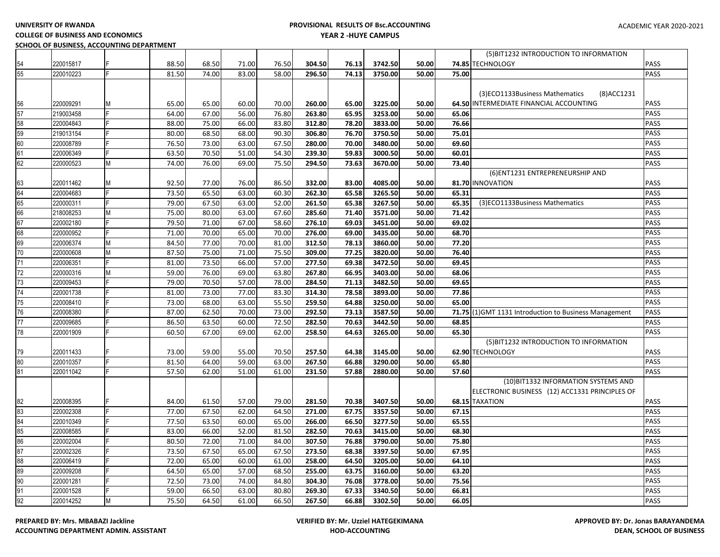**UNIVERSITY OF RWANDA** 

# **PROVISIONAL RESULTS OF Bsc.ACCOUNTING YEAR 2 -HUYE CAMPUS**

**COLLEGE OF BUSINESS AND ECONOMICS**

**SCHOOL OF BUSINESS, ACCOUNTING DEPARTMENT**

|    |           |   |       |       |       |       |        |       |         |       |       | (5) BIT1232 INTRODUCTION TO INFORMATION                |             |
|----|-----------|---|-------|-------|-------|-------|--------|-------|---------|-------|-------|--------------------------------------------------------|-------------|
| 54 | 220015817 |   | 88.50 | 68.50 | 71.00 | 76.50 | 304.50 | 76.13 | 3742.50 | 50.00 |       | 74.85 TECHNOLOGY                                       | PASS        |
| 55 | 220010223 |   | 81.50 | 74.00 | 83.00 | 58.00 | 296.50 | 74.13 | 3750.00 | 50.00 | 75.00 |                                                        | PASS        |
|    |           |   |       |       |       |       |        |       |         |       |       |                                                        |             |
|    |           |   |       |       |       |       |        |       |         |       |       | (3) ECO1133 Business Mathematics<br>(8)ACC1231         |             |
| 56 | 220009291 | М | 65.00 | 65.00 | 60.00 | 70.00 | 260.00 | 65.00 | 3225.00 | 50.00 |       | 64.50 INTERMEDIATE FINANCIAL ACCOUNTING                | <b>PASS</b> |
| 57 | 219003458 |   | 64.00 | 67.00 | 56.00 | 76.80 | 263.80 | 65.95 | 3253.00 | 50.00 | 65.06 |                                                        | PASS        |
| 58 | 220004843 |   | 88.00 | 75.00 | 66.00 | 83.80 | 312.80 | 78.20 | 3833.00 | 50.00 | 76.66 |                                                        | PASS        |
| 59 | 219013154 |   | 80.00 | 68.50 | 68.00 | 90.30 | 306.80 | 76.70 | 3750.50 | 50.00 | 75.01 |                                                        | PASS        |
| 60 | 220008789 |   | 76.50 | 73.00 | 63.00 | 67.50 | 280.00 | 70.00 | 3480.00 | 50.00 | 69.60 |                                                        | PASS        |
| 61 | 220006349 |   | 63.50 | 70.50 | 51.00 | 54.30 | 239.30 | 59.83 | 3000.50 | 50.00 | 60.01 |                                                        | PASS        |
| 62 | 220000523 | M | 74.00 | 76.00 | 69.00 | 75.50 | 294.50 | 73.63 | 3670.00 | 50.00 | 73.40 |                                                        | PASS        |
|    |           |   |       |       |       |       |        |       |         |       |       | (6) ENT1231 ENTREPRENEURSHIP AND                       |             |
| 63 | 220011462 | Μ | 92.50 | 77.00 | 76.00 | 86.50 | 332.00 | 83.00 | 4085.00 | 50.00 |       | 81.70 INNOVATION                                       | PASS        |
| 64 | 220004683 |   | 73.50 | 65.50 | 63.00 | 60.30 | 262.30 | 65.58 | 3265.50 | 50.00 | 65.31 |                                                        | <b>PASS</b> |
| 65 | 220000311 |   | 79.00 | 67.50 | 63.00 | 52.00 | 261.50 | 65.38 | 3267.50 | 50.00 | 65.35 | (3)ECO1133Business Mathematics                         | PASS        |
| 66 | 218008253 | M | 75.00 | 80.00 | 63.00 | 67.60 | 285.60 | 71.40 | 3571.00 | 50.00 | 71.42 |                                                        | PASS        |
| 67 | 220002180 |   | 79.50 | 71.00 | 67.00 | 58.60 | 276.10 | 69.03 | 3451.00 | 50.00 | 69.02 |                                                        | PASS        |
| 68 | 220000952 |   | 71.00 | 70.00 | 65.00 | 70.00 | 276.00 | 69.00 | 3435.00 | 50.00 | 68.70 |                                                        | PASS        |
| 69 | 220006374 | М | 84.50 | 77.00 | 70.00 | 81.00 | 312.50 | 78.13 | 3860.00 | 50.00 | 77.20 |                                                        | PASS        |
| 70 | 220000608 | M | 87.50 | 75.00 | 71.00 | 75.50 | 309.00 | 77.25 | 3820.00 | 50.00 | 76.40 |                                                        | PASS        |
| 71 | 220006351 |   | 81.00 | 73.50 | 66.00 | 57.00 | 277.50 | 69.38 | 3472.50 | 50.00 | 69.45 |                                                        | PASS        |
| 72 | 220000316 | M | 59.00 | 76.00 | 69.00 | 63.80 | 267.80 | 66.95 | 3403.00 | 50.00 | 68.06 |                                                        | PASS        |
| 73 | 220009453 |   | 79.00 | 70.50 | 57.00 | 78.00 | 284.50 | 71.13 | 3482.50 | 50.00 | 69.65 |                                                        | PASS        |
| 74 | 220001738 |   | 81.00 | 73.00 | 77.00 | 83.30 | 314.30 | 78.58 | 3893.00 | 50.00 | 77.86 |                                                        | PASS        |
| 75 | 220008410 |   | 73.00 | 68.00 | 63.00 | 55.50 | 259.50 | 64.88 | 3250.00 | 50.00 | 65.00 |                                                        | PASS        |
| 76 | 220008380 |   | 87.00 | 62.50 | 70.00 | 73.00 | 292.50 | 73.13 | 3587.50 | 50.00 |       | 71.75 (1) GMT 1131 Introduction to Business Management | <b>PASS</b> |
| 77 | 220009685 |   | 86.50 | 63.50 | 60.00 | 72.50 | 282.50 | 70.63 | 3442.50 | 50.00 | 68.85 |                                                        | PASS        |
| 78 | 220001909 |   | 60.50 | 67.00 | 69.00 | 62.00 | 258.50 | 64.63 | 3265.00 | 50.00 | 65.30 |                                                        | <b>PASS</b> |
|    |           |   |       |       |       |       |        |       |         |       |       | (5) BIT1232 INTRODUCTION TO INFORMATION                |             |
| 79 | 220011433 |   | 73.00 | 59.00 | 55.00 | 70.50 | 257.50 | 64.38 | 3145.00 | 50.00 |       | 62.90 TECHNOLOGY                                       | PASS        |
| 80 | 220010357 |   | 81.50 | 64.00 | 59.00 | 63.00 | 267.50 | 66.88 | 3290.00 | 50.00 | 65.80 |                                                        | PASS        |
| 81 | 220011042 |   | 57.50 | 62.00 | 51.00 | 61.00 | 231.50 | 57.88 | 2880.00 | 50.00 | 57.60 |                                                        | PASS        |
|    |           |   |       |       |       |       |        |       |         |       |       | (10) BIT1332 INFORMATION SYSTEMS AND                   |             |
|    |           |   |       |       |       |       |        |       |         |       |       | ELECTRONIC BUSINESS (12) ACC1331 PRINCIPLES OF         |             |
| 82 | 220008395 |   | 84.00 | 61.50 | 57.00 | 79.00 | 281.50 | 70.38 | 3407.50 | 50.00 |       | 68.15 TAXATION                                         | PASS        |
| 83 | 220002308 |   | 77.00 | 67.50 | 62.00 | 64.50 | 271.00 | 67.75 | 3357.50 | 50.00 | 67.15 |                                                        | PASS        |
| 84 | 220010349 |   | 77.50 | 63.50 | 60.00 | 65.00 | 266.00 | 66.50 | 3277.50 | 50.00 | 65.55 |                                                        | PASS        |
| 85 | 220008585 |   | 83.00 | 66.00 | 52.00 | 81.50 | 282.50 | 70.63 | 3415.00 | 50.00 | 68.30 |                                                        | PASS        |
| 86 | 220002004 |   | 80.50 | 72.00 | 71.00 | 84.00 | 307.50 | 76.88 | 3790.00 | 50.00 | 75.80 |                                                        | PASS        |
| 87 | 220002326 |   | 73.50 | 67.50 | 65.00 | 67.50 | 273.50 | 68.38 | 3397.50 | 50.00 | 67.95 |                                                        | PASS        |
| 88 | 220006419 |   | 72.00 | 65.00 | 60.00 | 61.00 | 258.00 | 64.50 | 3205.00 | 50.00 | 64.10 |                                                        | PASS        |
| 89 | 220009208 |   | 64.50 | 65.00 | 57.00 | 68.50 | 255.00 | 63.75 | 3160.00 | 50.00 | 63.20 |                                                        | PASS        |
| 90 | 220001281 |   | 72.50 | 73.00 | 74.00 | 84.80 | 304.30 | 76.08 | 3778.00 | 50.00 | 75.56 |                                                        | PASS        |
| 91 | 220001528 |   | 59.00 | 66.50 | 63.00 | 80.80 | 269.30 | 67.33 | 3340.50 | 50.00 | 66.81 |                                                        | PASS        |
| 92 | 220014252 | M | 75.50 | 64.50 | 61.00 | 66.50 | 267.50 | 66.88 | 3302.50 | 50.00 | 66.05 |                                                        | PASS        |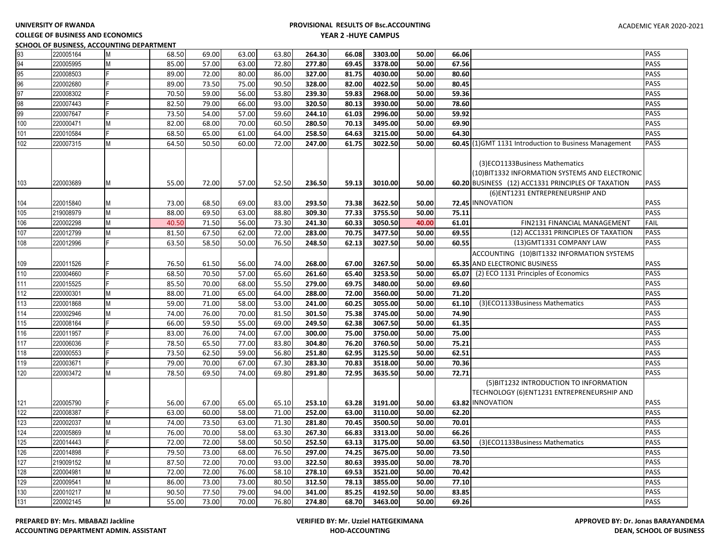#### **COLLEGE OF BUSINESS AND ECONOMICS SCHOOL OF BUSINESS, ACCOUNTING DEPARTMENT**

| 93  | 220005164 | M | 68.50 | 69.00 | 63.00 | 63.80 | 264.30 | 66.08 | 3303.00 | 50.00 | 66.06 |                                                                                                                                         | PASS |
|-----|-----------|---|-------|-------|-------|-------|--------|-------|---------|-------|-------|-----------------------------------------------------------------------------------------------------------------------------------------|------|
| 94  | 220005995 | M | 85.00 | 57.00 | 63.00 | 72.80 | 277.80 | 69.45 | 3378.00 | 50.00 | 67.56 |                                                                                                                                         | PASS |
| 95  | 220008503 | F | 89.00 | 72.00 | 80.00 | 86.00 | 327.00 | 81.75 | 4030.00 | 50.00 | 80.60 |                                                                                                                                         | PASS |
| 96  | 220002680 |   | 89.00 | 73.50 | 75.00 | 90.50 | 328.00 | 82.00 | 4022.50 | 50.00 | 80.45 |                                                                                                                                         | PASS |
| 97  | 220008302 |   | 70.50 | 59.00 | 56.00 | 53.80 | 239.30 | 59.83 | 2968.00 | 50.00 | 59.36 |                                                                                                                                         | PASS |
| 98  | 220007443 |   | 82.50 | 79.00 | 66.00 | 93.00 | 320.50 | 80.13 | 3930.00 | 50.00 | 78.60 |                                                                                                                                         | PASS |
| 99  | 220007647 |   | 73.50 | 54.00 | 57.00 | 59.60 | 244.10 | 61.03 | 2996.00 | 50.00 | 59.92 |                                                                                                                                         | PASS |
| 100 | 220000471 | М | 82.00 | 68.00 | 70.00 | 60.50 | 280.50 | 70.13 | 3495.00 | 50.00 | 69.90 |                                                                                                                                         | PASS |
| 101 | 220010584 |   | 68.50 | 65.00 | 61.00 | 64.00 | 258.50 | 64.63 | 3215.00 | 50.00 | 64.30 |                                                                                                                                         | PASS |
| 102 | 220007315 | M | 64.50 | 50.50 | 60.00 | 72.00 | 247.00 | 61.75 | 3022.50 | 50.00 |       | 60.45 (1) GMT 1131 Introduction to Business Management                                                                                  | PASS |
| 103 | 220003689 | М | 55.00 | 72.00 | 57.00 | 52.50 | 236.50 | 59.13 | 3010.00 | 50.00 |       | (3)ECO1133Business Mathematics<br>(10) BIT1332 INFORMATION SYSTEMS AND ELECTRONIC<br>60.20 BUSINESS (12) ACC1331 PRINCIPLES OF TAXATION | PASS |
|     |           |   |       |       |       |       |        |       |         |       |       | (6) ENT1231 ENTREPRENEURSHIP AND                                                                                                        |      |
| 104 | 220015840 | М | 73.00 | 68.50 | 69.00 | 83.00 | 293.50 | 73.38 | 3622.50 | 50.00 |       | 72.45 INNOVATION                                                                                                                        | PASS |
| 105 | 219008979 | M | 88.00 | 69.50 | 63.00 | 88.80 | 309.30 | 77.33 | 3755.50 | 50.00 | 75.11 |                                                                                                                                         | PASS |
| 106 | 220002298 | M | 40.50 | 71.50 | 56.00 | 73.30 | 241.30 | 60.33 | 3050.50 | 40.00 | 61.01 | FIN2131 FINANCIAL MANAGEMENT                                                                                                            | FAIL |
| 107 | 220012799 | М | 81.50 | 67.50 | 62.00 | 72.00 | 283.00 | 70.75 | 3477.50 | 50.00 | 69.55 | (12) ACC1331 PRINCIPLES OF TAXATION                                                                                                     | PASS |
| 108 | 220012996 |   | 63.50 | 58.50 | 50.00 | 76.50 | 248.50 | 62.13 | 3027.50 | 50.00 | 60.55 | (13) GMT1331 COMPANY LAW                                                                                                                | PASS |
|     |           |   |       |       |       |       |        |       |         |       |       | ACCOUNTING (10) BIT1332 INFORMATION SYSTEMS                                                                                             |      |
| 109 | 220011526 |   | 76.50 | 61.50 | 56.00 | 74.00 | 268.00 | 67.00 | 3267.50 | 50.00 |       | 65.35 AND ELECTRONIC BUSINESS                                                                                                           | PASS |
| 110 | 220004660 | E | 68.50 | 70.50 | 57.00 | 65.60 | 261.60 | 65.40 | 3253.50 | 50.00 | 65.07 | (2) ECO 1131 Principles of Economics                                                                                                    | PASS |
| 111 | 220015525 |   | 85.50 | 70.00 | 68.00 | 55.50 | 279.00 | 69.75 | 3480.00 | 50.00 | 69.60 |                                                                                                                                         | PASS |
| 112 | 220000301 | M | 88.00 | 71.00 | 65.00 | 64.00 | 288.00 | 72.00 | 3560.00 | 50.00 | 71.20 |                                                                                                                                         | PASS |
| 113 | 220001868 | M | 59.00 | 71.00 | 58.00 | 53.00 | 241.00 | 60.25 | 3055.00 | 50.00 | 61.10 | (3)ECO1133Business Mathematics                                                                                                          | PASS |
| 114 | 220002946 | M | 74.00 | 76.00 | 70.00 | 81.50 | 301.50 | 75.38 | 3745.00 | 50.00 | 74.90 |                                                                                                                                         | PASS |
| 115 | 220008164 |   | 66.00 | 59.50 | 55.00 | 69.00 | 249.50 | 62.38 | 3067.50 | 50.00 | 61.35 |                                                                                                                                         | PASS |
| 116 | 220011957 |   | 83.00 | 76.00 | 74.00 | 67.00 | 300.00 | 75.00 | 3750.00 | 50.00 | 75.00 |                                                                                                                                         | PASS |
| 117 | 220006036 |   | 78.50 | 65.50 | 77.00 | 83.80 | 304.80 | 76.20 | 3760.50 | 50.00 | 75.21 |                                                                                                                                         | PASS |
| 118 | 220000553 |   | 73.50 | 62.50 | 59.00 | 56.80 | 251.80 | 62.95 | 3125.50 | 50.00 | 62.51 |                                                                                                                                         | PASS |
| 119 | 220003671 |   | 79.00 | 70.00 | 67.00 | 67.30 | 283.30 | 70.83 | 3518.00 | 50.00 | 70.36 |                                                                                                                                         | PASS |
| 120 | 220003472 | M | 78.50 | 69.50 | 74.00 | 69.80 | 291.80 | 72.95 | 3635.50 | 50.00 | 72.71 |                                                                                                                                         | PASS |
| 121 | 220005790 |   | 56.00 | 67.00 | 65.00 | 65.10 | 253.10 | 63.28 | 3191.00 | 50.00 |       | (5) BIT1232 INTRODUCTION TO INFORMATION<br>TECHNOLOGY (6)ENT1231 ENTREPRENEURSHIP AND<br>63.82 INNOVATION                               | PASS |
| 122 | 220008387 | E | 63.00 | 60.00 | 58.00 | 71.00 | 252.00 | 63.00 | 3110.00 | 50.00 | 62.20 |                                                                                                                                         | PASS |
| 123 | 220002037 | M | 74.00 | 73.50 | 63.00 | 71.30 | 281.80 | 70.45 | 3500.50 | 50.00 | 70.01 |                                                                                                                                         | PASS |
| 124 | 220005869 | M | 76.00 | 70.00 | 58.00 | 63.30 | 267.30 | 66.83 | 3313.00 | 50.00 | 66.26 |                                                                                                                                         | PASS |
| 125 | 220014443 | E | 72.00 | 72.00 | 58.00 | 50.50 | 252.50 | 63.13 | 3175.00 | 50.00 | 63.50 | (3)ECO1133Business Mathematics                                                                                                          | PASS |
| 126 | 220014898 |   | 79.50 | 73.00 | 68.00 | 76.50 | 297.00 | 74.25 | 3675.00 | 50.00 | 73.50 |                                                                                                                                         | PASS |
| 127 | 219009152 | M | 87.50 | 72.00 | 70.00 | 93.00 | 322.50 | 80.63 | 3935.00 | 50.00 | 78.70 |                                                                                                                                         | PASS |
| 128 | 220004981 | M | 72.00 | 72.00 | 76.00 | 58.10 | 278.10 | 69.53 | 3521.00 | 50.00 | 70.42 |                                                                                                                                         | PASS |
| 129 | 220009541 | M | 86.00 | 73.00 | 73.00 | 80.50 | 312.50 | 78.13 | 3855.00 | 50.00 | 77.10 |                                                                                                                                         | PASS |
| 130 | 220010217 | M | 90.50 | 77.50 | 79.00 | 94.00 | 341.00 | 85.25 | 4192.50 | 50.00 | 83.85 |                                                                                                                                         | PASS |
| 131 | 220002145 | M | 55.00 | 73.00 | 70.00 | 76.80 | 274.80 | 68.70 | 3463.00 | 50.00 | 69.26 |                                                                                                                                         | PASS |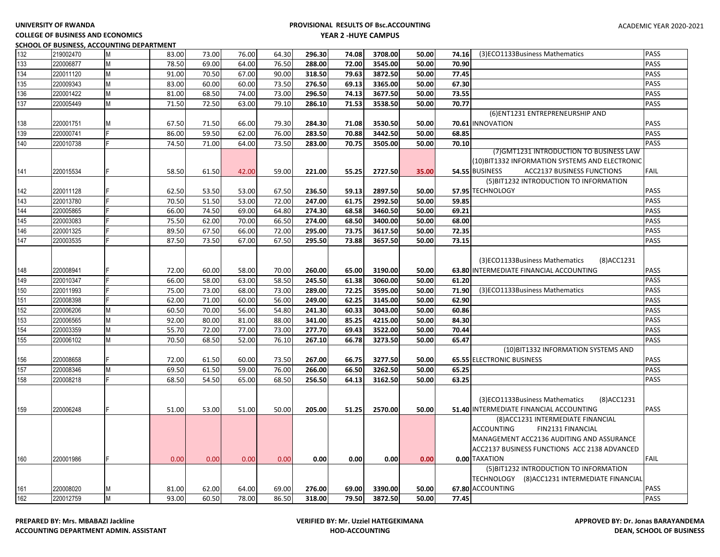# **COLLEGE OF BUSINESS AND ECONOMICS**

|     |           | SCHOOL OF BUSINESS, ACCOUNTING DEPARTMENT |       |       |       |       |        |       |         |       |       |                                                            |             |
|-----|-----------|-------------------------------------------|-------|-------|-------|-------|--------|-------|---------|-------|-------|------------------------------------------------------------|-------------|
| 132 | 219002470 | <b>M</b>                                  | 83.00 | 73.00 | 76.00 | 64.30 | 296.30 | 74.08 | 3708.00 | 50.00 | 74.16 | (3)ECO1133Business Mathematics                             | <b>PASS</b> |
| 133 | 220006877 | M                                         | 78.50 | 69.00 | 64.00 | 76.50 | 288.00 | 72.00 | 3545.00 | 50.00 | 70.90 |                                                            | PASS        |
| 134 | 220011120 | M                                         | 91.00 | 70.50 | 67.00 | 90.00 | 318.50 | 79.63 | 3872.50 | 50.00 | 77.45 |                                                            | PASS        |
| 135 | 220009343 | M                                         | 83.00 | 60.00 | 60.00 | 73.50 | 276.50 | 69.13 | 3365.00 | 50.00 | 67.30 |                                                            | PASS        |
| 136 | 220001422 | M                                         | 81.00 | 68.50 | 74.00 | 73.00 | 296.50 | 74.13 | 3677.50 | 50.00 | 73.55 |                                                            | PASS        |
| 137 | 220005449 | M                                         | 71.50 | 72.50 | 63.00 | 79.10 | 286.10 | 71.53 | 3538.50 | 50.00 | 70.77 |                                                            | <b>PASS</b> |
|     |           |                                           |       |       |       |       |        |       |         |       |       | (6) ENT1231 ENTREPRENEURSHIP AND                           |             |
| 138 | 220001751 | M                                         | 67.50 | 71.50 | 66.00 | 79.30 | 284.30 | 71.08 | 3530.50 | 50.00 |       | 70.61 INNOVATION                                           | PASS        |
| 139 | 220000741 |                                           | 86.00 | 59.50 | 62.00 | 76.00 | 283.50 | 70.88 | 3442.50 | 50.00 | 68.85 |                                                            | PASS        |
| 140 | 220010738 |                                           | 74.50 | 71.00 | 64.00 | 73.50 | 283.00 | 70.75 | 3505.00 | 50.00 | 70.10 |                                                            | PASS        |
|     |           |                                           |       |       |       |       |        |       |         |       |       | (7) GMT1231 INTRODUCTION TO BUSINESS LAW                   |             |
|     |           |                                           |       |       |       |       |        |       |         |       |       | (10)BIT1332 INFORMATION SYSTEMS AND ELECTRONIC             |             |
| 141 | 220015534 |                                           | 58.50 | 61.50 | 42.00 | 59.00 | 221.00 | 55.25 | 2727.50 | 35.00 |       | <b>54.55 BUSINESS</b><br><b>ACC2137 BUSINESS FUNCTIONS</b> | <b>FAIL</b> |
|     |           |                                           |       |       |       |       |        |       |         |       |       | (5) BIT1232 INTRODUCTION TO INFORMATION                    |             |
| 142 | 220011128 |                                           | 62.50 | 53.50 | 53.00 | 67.50 | 236.50 | 59.13 | 2897.50 | 50.00 |       | 57.95 TECHNOLOGY                                           | <b>PASS</b> |
| 143 | 220013780 |                                           | 70.50 | 51.50 | 53.00 | 72.00 | 247.00 | 61.75 | 2992.50 | 50.00 | 59.85 |                                                            | <b>PASS</b> |
| 144 | 220005865 |                                           | 66.00 | 74.50 | 69.00 | 64.80 | 274.30 | 68.58 | 3460.50 | 50.00 | 69.21 |                                                            | PASS        |
| 145 | 220003083 |                                           | 75.50 | 62.00 | 70.00 | 66.50 | 274.00 | 68.50 | 3400.00 | 50.00 | 68.00 |                                                            | PASS        |
| 146 | 220001325 |                                           | 89.50 | 67.50 | 66.00 | 72.00 | 295.00 | 73.75 | 3617.50 | 50.00 | 72.35 |                                                            | PASS        |
| 147 | 220003535 |                                           | 87.50 | 73.50 | 67.00 | 67.50 | 295.50 | 73.88 | 3657.50 | 50.00 | 73.15 |                                                            | PASS        |
|     |           |                                           |       |       |       |       |        |       |         |       |       |                                                            |             |
|     |           |                                           |       |       |       |       |        |       |         |       |       | (3)ECO1133Business Mathematics<br>(8) ACC 1231             |             |
| 148 | 220008941 |                                           | 72.00 | 60.00 | 58.00 | 70.00 | 260.00 | 65.00 | 3190.00 | 50.00 |       | 63.80 INTERMEDIATE FINANCIAL ACCOUNTING                    | <b>PASS</b> |
| 149 | 220010347 |                                           | 66.00 | 58.00 | 63.00 | 58.50 | 245.50 | 61.38 | 3060.00 | 50.00 | 61.20 |                                                            | <b>PASS</b> |
| 150 | 220011993 |                                           | 75.00 | 73.00 | 68.00 | 73.00 | 289.00 | 72.25 | 3595.00 | 50.00 | 71.90 | (3)ECO1133Business Mathematics                             | PASS        |
| 151 | 220008398 |                                           | 62.00 | 71.00 | 60.00 | 56.00 | 249.00 | 62.25 | 3145.00 | 50.00 | 62.90 |                                                            | PASS        |
| 152 | 220006206 | M                                         | 60.50 | 70.00 | 56.00 | 54.80 | 241.30 | 60.33 | 3043.00 | 50.00 | 60.86 |                                                            | PASS        |
| 153 | 220006565 | M                                         | 92.00 | 80.00 | 81.00 | 88.00 | 341.00 | 85.25 | 4215.00 | 50.00 | 84.30 |                                                            | <b>PASS</b> |
| 154 | 220003359 | M                                         | 55.70 | 72.00 | 77.00 | 73.00 | 277.70 | 69.43 | 3522.00 | 50.00 | 70.44 |                                                            | PASS        |
| 155 | 220006102 | M                                         | 70.50 | 68.50 | 52.00 | 76.10 | 267.10 | 66.78 | 3273.50 | 50.00 | 65.47 |                                                            | PASS        |
|     |           |                                           |       |       |       |       |        |       |         |       |       | (10) BIT1332 INFORMATION SYSTEMS AND                       |             |
| 156 | 220008658 |                                           | 72.00 | 61.50 | 60.00 | 73.50 | 267.00 | 66.75 | 3277.50 | 50.00 |       | 65.55 ELECTRONIC BUSINESS                                  | PASS        |
| 157 | 220008346 | M                                         | 69.50 | 61.50 | 59.00 | 76.00 | 266.00 | 66.50 | 3262.50 | 50.00 | 65.25 |                                                            | <b>PASS</b> |
| 158 | 220008218 |                                           | 68.50 | 54.50 | 65.00 | 68.50 | 256.50 | 64.13 | 3162.50 | 50.00 | 63.25 |                                                            | <b>PASS</b> |
|     |           |                                           |       |       |       |       |        |       |         |       |       |                                                            |             |
|     |           |                                           |       |       |       |       |        |       |         |       |       | (3)ECO1133Business Mathematics<br>(8) ACC 1231             |             |
| 159 | 220006248 |                                           | 51.00 | 53.00 | 51.00 | 50.00 | 205.00 | 51.25 | 2570.00 | 50.00 |       | 51.40 INTERMEDIATE FINANCIAL ACCOUNTING                    | PASS        |
|     |           |                                           |       |       |       |       |        |       |         |       |       | (8) ACC1231 INTERMEDIATE FINANCIAL                         |             |
|     |           |                                           |       |       |       |       |        |       |         |       |       | ACCOUNTING<br><b>FIN2131 FINANCIAL</b>                     |             |
|     |           |                                           |       |       |       |       |        |       |         |       |       | MANAGEMENT ACC2136 AUDITING AND ASSURANCE                  |             |
|     |           |                                           |       |       |       |       |        |       |         |       |       | ACC2137 BUSINESS FUNCTIONS ACC 2138 ADVANCED               |             |
| 160 | 220001986 |                                           | 0.00  | 0.00  | 0.00  | 0.00  | 0.00   | 0.00  | 0.00    | 0.00  |       | 0.00 TAXATION                                              | <b>FAIL</b> |
|     |           |                                           |       |       |       |       |        |       |         |       |       | (5) BIT1232 INTRODUCTION TO INFORMATION                    |             |
|     |           |                                           |       |       |       |       |        |       |         |       |       | TECHNOLOGY (8)ACC1231 INTERMEDIATE FINANCIAL               |             |
| 161 | 220008020 | M                                         | 81.00 | 62.00 | 64.00 | 69.00 | 276.00 | 69.00 | 3390.00 | 50.00 |       | 67.80 ACCOUNTING                                           | <b>PASS</b> |
| 162 | 220012759 | M                                         | 93.00 | 60.50 | 78.00 | 86.50 | 318.00 | 79.50 | 3872.50 | 50.00 | 77.45 |                                                            | PASS        |
|     |           |                                           |       |       |       |       |        |       |         |       |       |                                                            |             |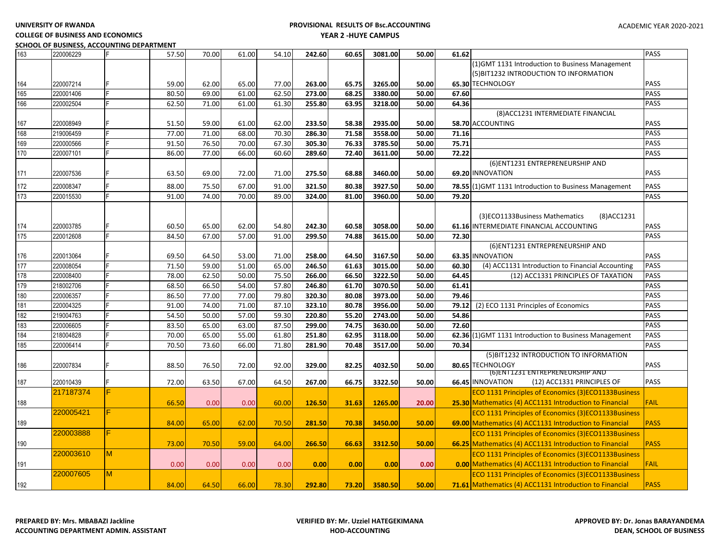**COLLEGE OF BUSINESS AND ECONOMICS SCHOOL OF BUSINESS, ACCOUNTING DEPARTMENT**

| 163 | 220006229 |    | 57.50 | 70.00 | 61.00 | 54.10 | 242.60 | 60.65 | 3081.00 | 50.00 | 61.62                                                     | <b>PASS</b> |
|-----|-----------|----|-------|-------|-------|-------|--------|-------|---------|-------|-----------------------------------------------------------|-------------|
|     |           |    |       |       |       |       |        |       |         |       | (1) GMT 1131 Introduction to Business Management          |             |
|     |           |    |       |       |       |       |        |       |         |       | (5) BIT1232 INTRODUCTION TO INFORMATION                   |             |
| 164 | 220007214 |    | 59.00 | 62.00 | 65.00 | 77.00 | 263.00 | 65.75 | 3265.00 | 50.00 | 65.30 TECHNOLOGY                                          | <b>PASS</b> |
| 165 | 220001406 |    | 80.50 | 69.00 | 61.00 | 62.50 | 273.00 | 68.25 | 3380.00 | 50.00 | 67.60                                                     | PASS        |
| 166 | 220002504 |    | 62.50 | 71.00 | 61.00 | 61.30 | 255.80 | 63.95 | 3218.00 | 50.00 | 64.36                                                     | PASS        |
|     |           |    |       |       |       |       |        |       |         |       | (8) ACC1231 INTERMEDIATE FINANCIAL                        |             |
| 167 | 220008949 |    | 51.50 | 59.00 | 61.00 | 62.00 | 233.50 | 58.38 | 2935.00 | 50.00 | 58.70 ACCOUNTING                                          | PASS        |
| 168 | 219006459 |    | 77.00 | 71.00 | 68.00 | 70.30 | 286.30 | 71.58 | 3558.00 | 50.00 | 71.16                                                     | PASS        |
| 169 | 220000566 |    | 91.50 | 76.50 | 70.00 | 67.30 | 305.30 | 76.33 | 3785.50 | 50.00 | 75.71                                                     | PASS        |
| 170 | 220007101 |    | 86.00 | 77.00 | 66.00 | 60.60 | 289.60 | 72.40 | 3611.00 | 50.00 | 72.22                                                     | PASS        |
|     |           |    |       |       |       |       |        |       |         |       | (6) ENT1231 ENTREPRENEURSHIP AND                          |             |
| 171 | 220007536 |    | 63.50 | 69.00 | 72.00 | 71.00 | 275.50 | 68.88 | 3460.00 | 50.00 | 69.20 INNOVATION                                          | PASS        |
| 172 | 220008347 |    | 88.00 | 75.50 | 67.00 | 91.00 | 321.50 | 80.38 | 3927.50 | 50.00 | 78.55 (1) GMT 1131 Introduction to Business Management    | PASS        |
| 173 | 220015530 |    | 91.00 | 74.00 | 70.00 | 89.00 | 324.00 | 81.00 | 3960.00 | 50.00 | 79.20                                                     | <b>PASS</b> |
|     |           |    |       |       |       |       |        |       |         |       |                                                           |             |
|     |           |    |       |       |       |       |        |       |         |       | (3)ECO1133Business Mathematics<br>(8)ACC1231              |             |
| 174 | 220003785 |    | 60.50 | 65.00 | 62.00 | 54.80 | 242.30 | 60.58 | 3058.00 | 50.00 | 61.16 INTERMEDIATE FINANCIAL ACCOUNTING                   | PASS        |
| 175 | 220012608 |    | 84.50 | 67.00 | 57.00 | 91.00 | 299.50 | 74.88 | 3615.00 | 50.00 | 72.30                                                     | PASS        |
|     |           |    |       |       |       |       |        |       |         |       | (6) ENT1231 ENTREPRENEURSHIP AND                          |             |
| 176 | 220013064 |    | 69.50 | 64.50 | 53.00 | 71.00 | 258.00 | 64.50 | 3167.50 | 50.00 | 63.35 INNOVATION                                          | PASS        |
| 177 | 220008054 |    | 71.50 | 59.00 | 51.00 | 65.00 | 246.50 | 61.63 | 3015.00 | 50.00 | (4) ACC1131 Introduction to Financial Accounting<br>60.30 | PASS        |
| 178 | 220008400 |    | 78.00 | 62.50 | 50.00 | 75.50 | 266.00 | 66.50 | 3222.50 | 50.00 | 64.45<br>(12) ACC1331 PRINCIPLES OF TAXATION              | PASS        |
| 179 | 218002706 |    | 68.50 | 66.50 | 54.00 | 57.80 | 246.80 | 61.70 | 3070.50 | 50.00 | 61.41                                                     | PASS        |
| 180 | 220006357 |    | 86.50 | 77.00 | 77.00 | 79.80 | 320.30 | 80.08 | 3973.00 | 50.00 | 79.46                                                     | <b>PASS</b> |
| 181 | 220004325 |    | 91.00 | 74.00 | 71.00 | 87.10 | 323.10 | 80.78 | 3956.00 | 50.00 | (2) ECO 1131 Principles of Economics<br>79.12             | PASS        |
| 182 | 219004763 |    | 54.50 | 50.00 | 57.00 | 59.30 | 220.80 | 55.20 | 2743.00 | 50.00 | 54.86                                                     | <b>PASS</b> |
| 183 | 220006605 |    | 83.50 | 65.00 | 63.00 | 87.50 | 299.00 | 74.75 | 3630.00 | 50.00 | 72.60                                                     | PASS        |
| 184 | 218004828 |    | 70.00 | 65.00 | 55.00 | 61.80 | 251.80 | 62.95 | 3118.00 | 50.00 | 62.36 (1) GMT 1131 Introduction to Business Management    | PASS        |
| 185 | 220006414 |    | 70.50 | 73.60 | 66.00 | 71.80 | 281.90 | 70.48 | 3517.00 | 50.00 | 70.34                                                     | <b>PASS</b> |
|     |           |    |       |       |       |       |        |       |         |       | (5) BIT1232 INTRODUCTION TO INFORMATION                   |             |
| 186 | 220007834 |    | 88.50 | 76.50 | 72.00 | 92.00 | 329.00 | 82.25 | 4032.50 | 50.00 | 80.65 TECHNOLOGY                                          | <b>PASS</b> |
|     |           |    |       |       |       |       |        |       |         |       | (6)ENT1231 ENTREPRENEURSHIP AND                           |             |
| 187 | 220010439 |    | 72.00 | 63.50 | 67.00 | 64.50 | 267.00 | 66.75 | 3322.50 | 50.00 | 66.45 INNOVATION<br>(12) ACC1331 PRINCIPLES OF            | <b>PASS</b> |
|     | 217187374 | F  |       |       |       |       |        |       |         |       | ECO 1131 Principles of Economics (3)ECO1133Business       |             |
| 188 |           |    | 66.50 | 0.00  | 0.00  | 60.00 | 126.50 | 31.63 | 1265.00 | 20.00 | 25.30 Mathematics (4) ACC1131 Introduction to Financial   | <b>FAIL</b> |
|     | 220005421 | Е  |       |       |       |       |        |       |         |       | ECO 1131 Principles of Economics (3)ECO1133Business       |             |
| 189 |           |    | 84.00 | 65.00 | 62.00 | 70.50 | 281.50 | 70.38 | 3450.00 | 50.00 | 69.00 Mathematics (4) ACC1131 Introduction to Financial   | <b>PASS</b> |
|     | 220003888 | F. |       |       |       |       |        |       |         |       | ECO 1131 Principles of Economics (3)ECO1133Business       |             |
| 190 |           |    | 73.00 | 70.50 | 59.00 | 64.00 | 266.50 | 66.63 | 3312.50 | 50.00 | 66.25 Mathematics (4) ACC1131 Introduction to Financial   | <b>PASS</b> |
|     | 220003610 | M  |       |       |       |       |        |       |         |       | ECO 1131 Principles of Economics (3)ECO1133Business       |             |
| 191 |           |    | 0.00  | 0.00  | 0.00  | 0.00  | 0.00   | 0.00  | 0.00    | 0.00  | 0.00 Mathematics (4) ACC1131 Introduction to Financial    | <b>FAIL</b> |
|     | 220007605 | M  |       |       |       |       |        |       |         |       | ECO 1131 Principles of Economics (3)ECO1133Business       |             |
| 192 |           |    | 84.00 | 64.50 | 66.00 | 78.30 | 292.80 | 73.20 | 3580.50 | 50.00 | 71.61 Mathematics (4) ACC1131 Introduction to Financial   | <b>PASS</b> |